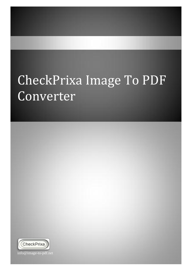## CheckPrixa Image To PDF Converter



info@image-to-pdf.net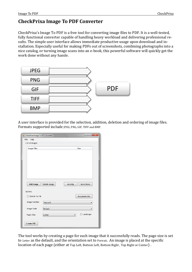## **CheckPrixa Image To PDF Converter**

CheckPrixa's Image To PDF is a free tool for converting image files to PDF. It is a well-tested, fully functional converter capable of handling heavy workload and delivering professional results. The simple user interface allows immediate productive usage upon download and installation. Especially useful for making PDFs out of screenshots, combining photographs into a nice catalog, or turning image scans into an e-book, this powerful software will quickly get the work done without any hassle.

| <b>JPEG</b> |            |
|-------------|------------|
| <b>PNG</b>  |            |
| <b>GIF</b>  | <b>PDF</b> |
| <b>TIFF</b> |            |
| <b>BMP</b>  |            |

A user interface is provided for the selection, addition, deletion and ordering of image files. Formats supported include JPEG, PNG, GIF, TIFF and BMP.

|                       | $\mathbf{x}$<br>فارد<br><sup>a</sup> CheckPrixa Image To PDF Converter |        |                  |  |  |
|-----------------------|------------------------------------------------------------------------|--------|------------------|--|--|
| File<br>Help          |                                                                        |        |                  |  |  |
| <b>List of Images</b> |                                                                        |        |                  |  |  |
| <b>Image Files</b>    |                                                                        |        | Size             |  |  |
|                       |                                                                        |        |                  |  |  |
|                       |                                                                        |        |                  |  |  |
|                       |                                                                        |        |                  |  |  |
|                       |                                                                        |        |                  |  |  |
|                       |                                                                        |        |                  |  |  |
|                       |                                                                        |        |                  |  |  |
|                       |                                                                        |        |                  |  |  |
|                       |                                                                        |        |                  |  |  |
| <b>Add Image</b>      | Delete Image                                                           | MoveUp | <b>Move Down</b> |  |  |
| Options               |                                                                        |        |                  |  |  |
|                       |                                                                        |        |                  |  |  |
| Stretch To Fill       |                                                                        |        | Document Info    |  |  |
| <b>Image Position</b> | <b>Top Left</b>                                                        |        |                  |  |  |
|                       |                                                                        |        |                  |  |  |
| Image Scale           | <b>Default</b>                                                         |        |                  |  |  |
| <b>Paper Size</b>     | Letter                                                                 | ▾      | Landscape        |  |  |
|                       |                                                                        |        |                  |  |  |
| <b>Create PDF</b>     |                                                                        |        |                  |  |  |
|                       |                                                                        |        |                  |  |  |

The tool works by creating a page for each image that it successfully reads. The page size is set to Letter as the default, and the orientation set to Portrait. An image is placed at the specific location of each page (either at Top Left, Bottom Left, Bottom Right , Top Right or Center) .